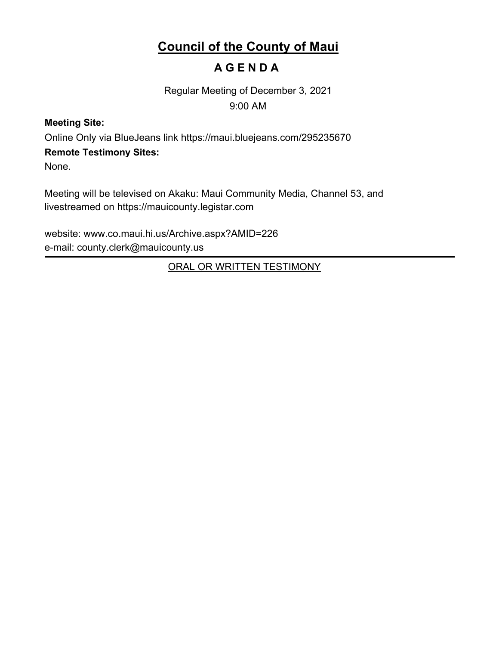# **Council of the County of Maui**

# **A G E N D A**

Regular Meeting of December 3, 2021 9:00 AM

# **Meeting Site:**

Online Only via BlueJeans link https://maui.bluejeans.com/295235670

# **Remote Testimony Sites:**

None.

Meeting will be televised on Akaku: Maui Community Media, Channel 53, and livestreamed on https://mauicounty.legistar.com

website: www.co.maui.hi.us/Archive.aspx?AMID=226 e-mail: county.clerk@mauicounty.us

ORAL OR WRITTEN TESTIMONY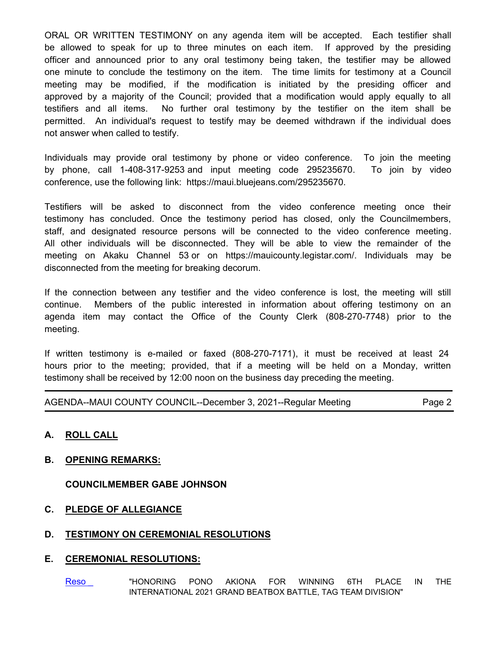ORAL OR WRITTEN TESTIMONY on any agenda item will be accepted. Each testifier shall be allowed to speak for up to three minutes on each item. If approved by the presiding officer and announced prior to any oral testimony being taken, the testifier may be allowed one minute to conclude the testimony on the item. The time limits for testimony at a Council meeting may be modified, if the modification is initiated by the presiding officer and approved by a majority of the Council; provided that a modification would apply equally to all testifiers and all items. No further oral testimony by the testifier on the item shall be permitted. An individual's request to testify may be deemed withdrawn if the individual does not answer when called to testify.

Individuals may provide oral testimony by phone or video conference. To join the meeting by phone, call 1-408-317-9253 and input meeting code 295235670. To join by video conference, use the following link: https://maui.bluejeans.com/295235670.

Testifiers will be asked to disconnect from the video conference meeting once their testimony has concluded. Once the testimony period has closed, only the Councilmembers, staff, and designated resource persons will be connected to the video conference meeting. All other individuals will be disconnected. They will be able to view the remainder of the meeting on Akaku Channel 53 or on https://mauicounty.legistar.com/. Individuals may be disconnected from the meeting for breaking decorum.

If the connection between any testifier and the video conference is lost, the meeting will still continue. Members of the public interested in information about offering testimony on an agenda item may contact the Office of the County Clerk (808-270-7748) prior to the meeting.

If written testimony is e-mailed or faxed (808-270-7171), it must be received at least 24 hours prior to the meeting; provided, that if a meeting will be held on a Monday, written testimony shall be received by 12:00 noon on the business day preceding the meeting.

| AGENDA--MAUI COUNTY COUNCIL--December 3, 2021--Regular Meeting | Page 2 |
|----------------------------------------------------------------|--------|
|----------------------------------------------------------------|--------|

# **A. ROLL CALL**

# **B. OPENING REMARKS:**

**COUNCILMEMBER GABE JOHNSON**

# **C. PLEDGE OF ALLEGIANCE**

# **D. TESTIMONY ON CEREMONIAL RESOLUTIONS**

# **E. CEREMONIAL RESOLUTIONS:**

[Reso \\_](http://mauicounty.legistar.com/gateway.aspx?m=l&id=/matter.aspx?key=11697) THONORING PONO AKIONA FOR WINNING 6TH PLACE IN THE INTERNATIONAL 2021 GRAND BEATBOX BATTLE, TAG TEAM DIVISION"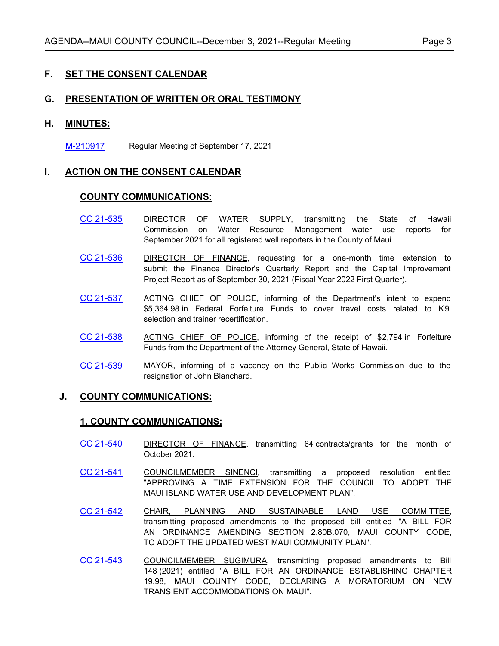# **F. SET THE CONSENT CALENDAR**

### **G. PRESENTATION OF WRITTEN OR ORAL TESTIMONY**

#### **H. MINUTES:**

[M-210917](http://mauicounty.legistar.com/gateway.aspx?m=l&id=/matter.aspx?key=11704) Regular Meeting of September 17, 2021

# **I. ACTION ON THE CONSENT CALENDAR**

#### **COUNTY COMMUNICATIONS:**

- [CC 21-535](http://mauicounty.legistar.com/gateway.aspx?m=l&id=/matter.aspx?key=11700) DIRECTOR OF WATER SUPPLY, transmitting the State of Hawaii Commission on Water Resource Management water use reports for September 2021 for all registered well reporters in the County of Maui.
- [CC 21-536](http://mauicounty.legistar.com/gateway.aspx?m=l&id=/matter.aspx?key=11667) DIRECTOR OF FINANCE, requesting for a one-month time extension to submit the Finance Director's Quarterly Report and the Capital Improvement Project Report as of September 30, 2021 (Fiscal Year 2022 First Quarter).
- [CC 21-537](http://mauicounty.legistar.com/gateway.aspx?m=l&id=/matter.aspx?key=11690) ACTING CHIEF OF POLICE, informing of the Department's intent to expend \$5,364.98 in Federal Forfeiture Funds to cover travel costs related to K9 selection and trainer recertification.
- [CC 21-538](http://mauicounty.legistar.com/gateway.aspx?m=l&id=/matter.aspx?key=11691) ACTING CHIEF OF POLICE, informing of the receipt of \$2,794 in Forfeiture Funds from the Department of the Attorney General, State of Hawaii.
- [CC 21-539](http://mauicounty.legistar.com/gateway.aspx?m=l&id=/matter.aspx?key=11670) MAYOR, informing of a vacancy on the Public Works Commission due to the resignation of John Blanchard.

# **J. COUNTY COMMUNICATIONS:**

#### **1. COUNTY COMMUNICATIONS:**

- [CC 21-540](http://mauicounty.legistar.com/gateway.aspx?m=l&id=/matter.aspx?key=11672) DIRECTOR OF FINANCE, transmitting 64 contracts/grants for the month of October 2021.
- [CC 21-541](http://mauicounty.legistar.com/gateway.aspx?m=l&id=/matter.aspx?key=11696) COUNCILMEMBER SINENCI, transmitting a proposed resolution entitled "APPROVING A TIME EXTENSION FOR THE COUNCIL TO ADOPT THE MAUI ISLAND WATER USE AND DEVELOPMENT PLAN".
- [CC 21-542](http://mauicounty.legistar.com/gateway.aspx?m=l&id=/matter.aspx?key=11694) CHAIR, PLANNING AND SUSTAINABLE LAND USE COMMITTEE, transmitting proposed amendments to the proposed bill entitled "A BILL FOR AN ORDINANCE AMENDING SECTION 2.80B.070, MAUI COUNTY CODE, TO ADOPT THE UPDATED WEST MAUI COMMUNITY PLAN".
- [CC 21-543](http://mauicounty.legistar.com/gateway.aspx?m=l&id=/matter.aspx?key=11699) COUNCILMEMBER SUGIMURA, transmitting proposed amendments to Bill 148 (2021) entitled "A BILL FOR AN ORDINANCE ESTABLISHING CHAPTER 19.98, MAUI COUNTY CODE, DECLARING A MORATORIUM ON NEW TRANSIENT ACCOMMODATIONS ON MAUI".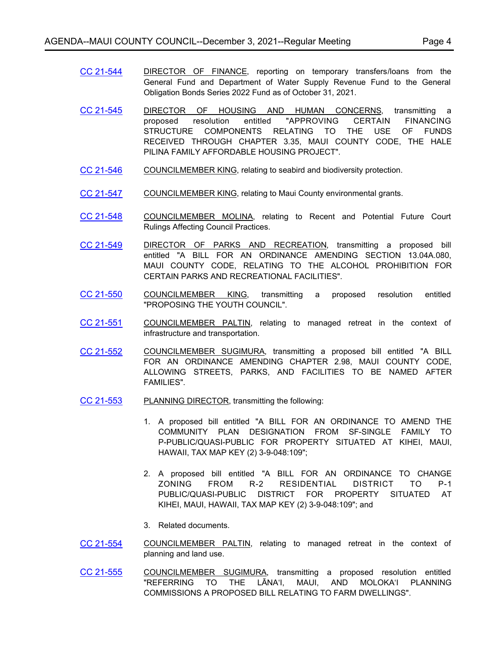- [CC 21-544](http://mauicounty.legistar.com/gateway.aspx?m=l&id=/matter.aspx?key=11671) DIRECTOR OF FINANCE, reporting on temporary transfers/loans from the General Fund and Department of Water Supply Revenue Fund to the General Obligation Bonds Series 2022 Fund as of October 31, 2021.
- [CC 21-545](http://mauicounty.legistar.com/gateway.aspx?m=l&id=/matter.aspx?key=11688) DIRECTOR OF HOUSING AND HUMAN CONCERNS, transmitting a proposed resolution entitled "APPROVING CERTAIN FINANCING STRUCTURE COMPONENTS RELATING TO THE USE OF FUNDS RECEIVED THROUGH CHAPTER 3.35, MAUI COUNTY CODE, THE HALE PILINA FAMILY AFFORDABLE HOUSING PROJECT".
- [CC 21-546](http://mauicounty.legistar.com/gateway.aspx?m=l&id=/matter.aspx?key=11668) COUNCILMEMBER KING, relating to seabird and biodiversity protection.
- [CC 21-547](http://mauicounty.legistar.com/gateway.aspx?m=l&id=/matter.aspx?key=11701) COUNCILMEMBER KING, relating to Maui County environmental grants.
- [CC 21-548](http://mauicounty.legistar.com/gateway.aspx?m=l&id=/matter.aspx?key=11675) COUNCILMEMBER MOLINA, relating to Recent and Potential Future Court Rulings Affecting Council Practices.
- [CC 21-549](http://mauicounty.legistar.com/gateway.aspx?m=l&id=/matter.aspx?key=11669) DIRECTOR OF PARKS AND RECREATION, transmitting a proposed bill entitled "A BILL FOR AN ORDINANCE AMENDING SECTION 13.04A.080, MAUI COUNTY CODE, RELATING TO THE ALCOHOL PROHIBITION FOR CERTAIN PARKS AND RECREATIONAL FACILITIES".
- [CC 21-550](http://mauicounty.legistar.com/gateway.aspx?m=l&id=/matter.aspx?key=11692) COUNCILMEMBER KING, transmitting a proposed resolution entitled "PROPOSING THE YOUTH COUNCIL".
- [CC 21-551](http://mauicounty.legistar.com/gateway.aspx?m=l&id=/matter.aspx?key=11674) COUNCILMEMBER PALTIN, relating to managed retreat in the context of infrastructure and transportation.
- [CC 21-552](http://mauicounty.legistar.com/gateway.aspx?m=l&id=/matter.aspx?key=11703) COUNCILMEMBER SUGIMURA, transmitting a proposed bill entitled "A BILL FOR AN ORDINANCE AMENDING CHAPTER 2.98, MAUI COUNTY CODE, ALLOWING STREETS, PARKS, AND FACILITIES TO BE NAMED AFTER FAMILIES".
- [CC 21-553](http://mauicounty.legistar.com/gateway.aspx?m=l&id=/matter.aspx?key=11666) PLANNING DIRECTOR, transmitting the following:
	- 1. A proposed bill entitled "A BILL FOR AN ORDINANCE TO AMEND THE COMMUNITY PLAN DESIGNATION FROM SF-SINGLE FAMILY TO P-PUBLIC/QUASI-PUBLIC FOR PROPERTY SITUATED AT KIHEI, MAUI, HAWAII, TAX MAP KEY (2) 3-9-048:109";
	- 2. A proposed bill entitled "A BILL FOR AN ORDINANCE TO CHANGE ZONING FROM R-2 RESIDENTIAL DISTRICT TO P-1 PUBLIC/QUASI-PUBLIC DISTRICT FOR PROPERTY SITUATED AT KIHEI, MAUI, HAWAII, TAX MAP KEY (2) 3-9-048:109"; and
	- 3. Related documents.
- [CC 21-554](http://mauicounty.legistar.com/gateway.aspx?m=l&id=/matter.aspx?key=11673) COUNCILMEMBER PALTIN, relating to managed retreat in the context of planning and land use.
- [CC 21-555](http://mauicounty.legistar.com/gateway.aspx?m=l&id=/matter.aspx?key=11698) COUNCILMEMBER SUGIMURA, transmitting a proposed resolution entitled "REFERRING TO THE LĀNAʻI, MAUI, AND MOLOKAʻI PLANNING COMMISSIONS A PROPOSED BILL RELATING TO FARM DWELLINGS".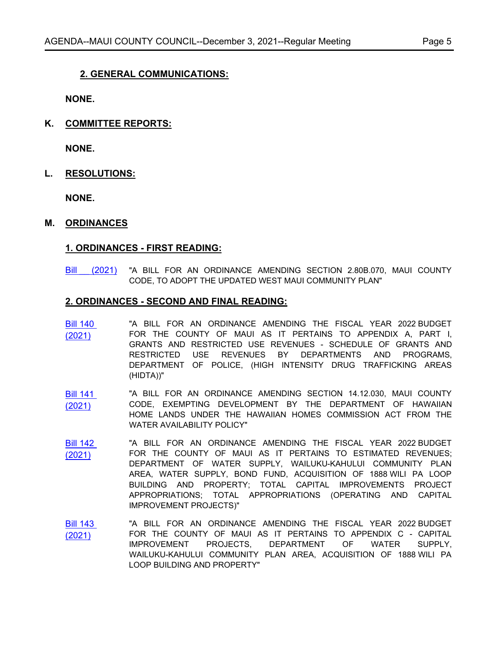# **2. GENERAL COMMUNICATIONS:**

**NONE.**

**K. COMMITTEE REPORTS:**

**NONE.**

**L. RESOLUTIONS:**

**NONE.**

#### **M. ORDINANCES**

#### **1. ORDINANCES - FIRST READING:**

Bill (2021) "A BILL FOR AN ORDINANCE AMENDING SECTION 2.80B.070, MAUI COUNTY CODE, TO ADOPT THE UPDATED WEST MAUI COMMUNITY PLAN"

#### **2. ORDINANCES - SECOND AND FINAL READING:**

- [Bill 140](http://mauicounty.legistar.com/gateway.aspx?m=l&id=/matter.aspx?key=11679)  (2021) "A BILL FOR AN ORDINANCE AMENDING THE FISCAL YEAR 2022 BUDGET FOR THE COUNTY OF MAUI AS IT PERTAINS TO APPENDIX A, PART I, GRANTS AND RESTRICTED USE REVENUES - SCHEDULE OF GRANTS AND RESTRICTED USE REVENUES BY DEPARTMENTS AND PROGRAMS, DEPARTMENT OF POLICE, (HIGH INTENSITY DRUG TRAFFICKING AREAS (HIDTA))"
- [Bill 141](http://mauicounty.legistar.com/gateway.aspx?m=l&id=/matter.aspx?key=11687)  (2021) "A BILL FOR AN ORDINANCE AMENDING SECTION 14.12.030, MAUI COUNTY CODE, EXEMPTING DEVELOPMENT BY THE DEPARTMENT OF HAWAIIAN HOME LANDS UNDER THE HAWAIIAN HOMES COMMISSION ACT FROM THE WATER AVAILABILITY POLICY"
- [Bill 142](http://mauicounty.legistar.com/gateway.aspx?m=l&id=/matter.aspx?key=11680)  (2021) "A BILL FOR AN ORDINANCE AMENDING THE FISCAL YEAR 2022 BUDGET FOR THE COUNTY OF MAUI AS IT PERTAINS TO ESTIMATED REVENUES; DEPARTMENT OF WATER SUPPLY, WAILUKU-KAHULUI COMMUNITY PLAN AREA, WATER SUPPLY, BOND FUND, ACQUISITION OF 1888 WILI PA LOOP BUILDING AND PROPERTY; TOTAL CAPITAL IMPROVEMENTS PROJECT APPROPRIATIONS; TOTAL APPROPRIATIONS (OPERATING AND CAPITAL IMPROVEMENT PROJECTS)"
- [Bill 143](http://mauicounty.legistar.com/gateway.aspx?m=l&id=/matter.aspx?key=11681)  (2021) "A BILL FOR AN ORDINANCE AMENDING THE FISCAL YEAR 2022 BUDGET FOR THE COUNTY OF MAUI AS IT PERTAINS TO APPENDIX C - CAPITAL IMPROVEMENT PROJECTS, DEPARTMENT OF WATER SUPPLY, WAILUKU-KAHULUI COMMUNITY PLAN AREA, ACQUISITION OF 1888 WILI PA LOOP BUILDING AND PROPERTY"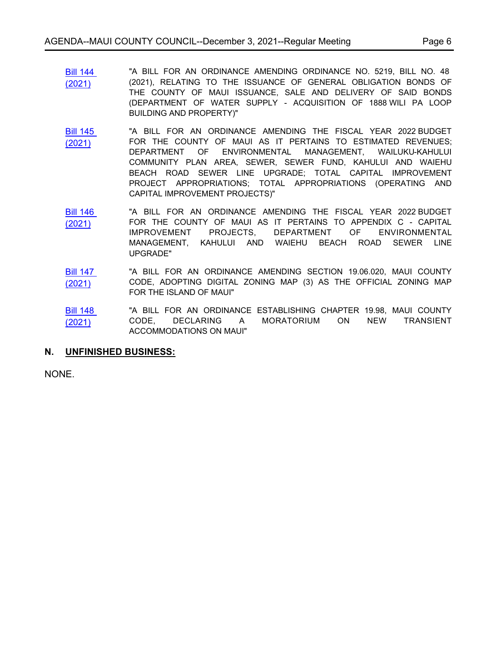- [Bill 144](http://mauicounty.legistar.com/gateway.aspx?m=l&id=/matter.aspx?key=11682)  (2021) "A BILL FOR AN ORDINANCE AMENDING ORDINANCE NO. 5219, BILL NO. 48 (2021), RELATING TO THE ISSUANCE OF GENERAL OBLIGATION BONDS OF THE COUNTY OF MAUI ISSUANCE, SALE AND DELIVERY OF SAID BONDS (DEPARTMENT OF WATER SUPPLY - ACQUISITION OF 1888 WILI PA LOOP BUILDING AND PROPERTY)"
- [Bill 145](http://mauicounty.legistar.com/gateway.aspx?m=l&id=/matter.aspx?key=11683)  (2021) "A BILL FOR AN ORDINANCE AMENDING THE FISCAL YEAR 2022 BUDGET FOR THE COUNTY OF MAUI AS IT PERTAINS TO ESTIMATED REVENUES; DEPARTMENT OF ENVIRONMENTAL MANAGEMENT, WAILUKU-KAHULUI COMMUNITY PLAN AREA, SEWER, SEWER FUND, KAHULUI AND WAIEHU BEACH ROAD SEWER LINE UPGRADE; TOTAL CAPITAL IMPROVEMENT PROJECT APPROPRIATIONS; TOTAL APPROPRIATIONS (OPERATING AND CAPITAL IMPROVEMENT PROJECTS)"
- [Bill 146](http://mauicounty.legistar.com/gateway.aspx?m=l&id=/matter.aspx?key=11684)  (2021) "A BILL FOR AN ORDINANCE AMENDING THE FISCAL YEAR 2022 BUDGET FOR THE COUNTY OF MAUI AS IT PERTAINS TO APPENDIX C - CAPITAL IMPROVEMENT PROJECTS, DEPARTMENT OF ENVIRONMENTAL MANAGEMENT, KAHULUI AND WAIEHU BEACH ROAD SEWER LINE UPGRADE"
- [Bill 147](http://mauicounty.legistar.com/gateway.aspx?m=l&id=/matter.aspx?key=11686)  (2021) "A BILL FOR AN ORDINANCE AMENDING SECTION 19.06.020, MAUI COUNTY CODE, ADOPTING DIGITAL ZONING MAP (3) AS THE OFFICIAL ZONING MAP FOR THE ISLAND OF MAUI"
- [Bill 148](http://mauicounty.legistar.com/gateway.aspx?m=l&id=/matter.aspx?key=11693)  (2021) "A BILL FOR AN ORDINANCE ESTABLISHING CHAPTER 19.98, MAUI COUNTY CODE, DECLARING A MORATORIUM ON NEW TRANSIENT ACCOMMODATIONS ON MAUI"

# **N. UNFINISHED BUSINESS:**

NONE.